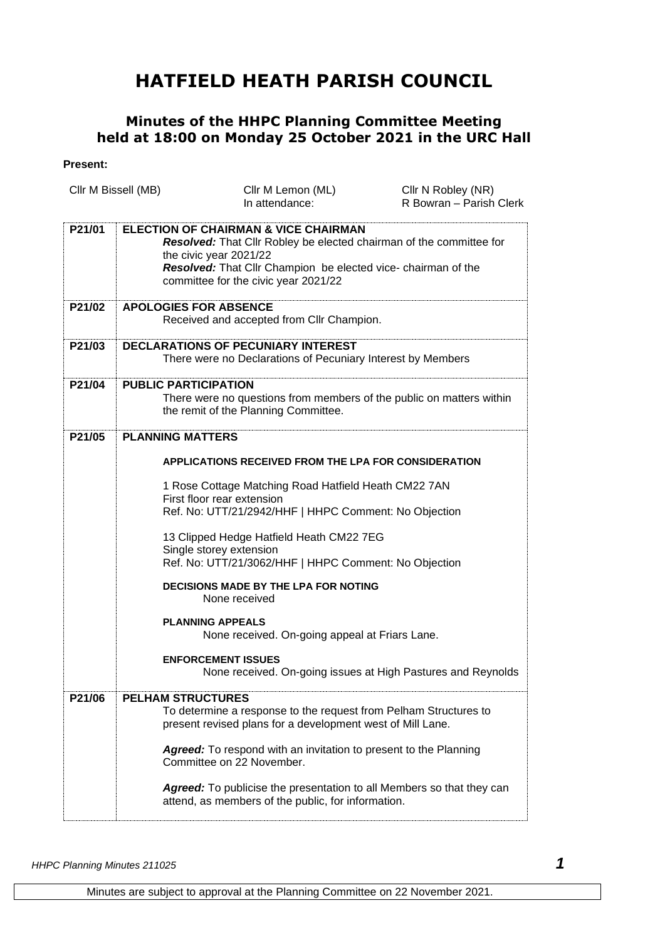## **HATFIELD HEATH PARISH COUNCIL**

## **Minutes of the HHPC Planning Committee Meeting held at 18:00 on Monday 25 October 2021 in the URC Hall**

## **Present:**

|        | Cllr M Bissell (MB)                                                                                      | Cllr M Lemon (ML)<br>In attendance:                                                                                                                                                                                                                       | Cllr N Robley (NR)<br>R Bowran - Parish Clerk |
|--------|----------------------------------------------------------------------------------------------------------|-----------------------------------------------------------------------------------------------------------------------------------------------------------------------------------------------------------------------------------------------------------|-----------------------------------------------|
|        |                                                                                                          |                                                                                                                                                                                                                                                           |                                               |
| P21/01 |                                                                                                          | <b>ELECTION OF CHAIRMAN &amp; VICE CHAIRMAN</b><br>Resolved: That Cllr Robley be elected chairman of the committee for<br>the civic year 2021/22<br>Resolved: That Cllr Champion be elected vice- chairman of the<br>committee for the civic year 2021/22 |                                               |
| P21/02 | <b>APOLOGIES FOR ABSENCE</b><br>Received and accepted from Cllr Champion.                                |                                                                                                                                                                                                                                                           |                                               |
| P21/03 | <b>DECLARATIONS OF PECUNIARY INTEREST</b><br>There were no Declarations of Pecuniary Interest by Members |                                                                                                                                                                                                                                                           |                                               |
| P21/04 | <b>PUBLIC PARTICIPATION</b>                                                                              | There were no questions from members of the public on matters within<br>the remit of the Planning Committee.                                                                                                                                              |                                               |
| P21/05 | <b>PLANNING MATTERS</b>                                                                                  |                                                                                                                                                                                                                                                           |                                               |
|        | <b>APPLICATIONS RECEIVED FROM THE LPA FOR CONSIDERATION</b>                                              |                                                                                                                                                                                                                                                           |                                               |
|        |                                                                                                          | 1 Rose Cottage Matching Road Hatfield Heath CM22 7AN<br>First floor rear extension<br>Ref. No: UTT/21/2942/HHF   HHPC Comment: No Objection                                                                                                               |                                               |
|        |                                                                                                          | 13 Clipped Hedge Hatfield Heath CM22 7EG<br>Single storey extension<br>Ref. No: UTT/21/3062/HHF   HHPC Comment: No Objection                                                                                                                              |                                               |
|        |                                                                                                          | <b>DECISIONS MADE BY THE LPA FOR NOTING</b><br>None received                                                                                                                                                                                              |                                               |
|        |                                                                                                          | <b>PLANNING APPEALS</b><br>None received. On-going appeal at Friars Lane.                                                                                                                                                                                 |                                               |
|        |                                                                                                          | <b>ENFORCEMENT ISSUES</b><br>None received. On-going issues at High Pastures and Reynolds                                                                                                                                                                 |                                               |
| P21/06 | <b>PELHAM STRUCTURES</b>                                                                                 | To determine a response to the request from Pelham Structures to<br>present revised plans for a development west of Mill Lane.<br><b>Agreed:</b> To respond with an invitation to present to the Planning<br>Committee on 22 November.                    |                                               |
|        |                                                                                                          | Agreed: To publicise the presentation to all Members so that they can<br>attend, as members of the public, for information.                                                                                                                               |                                               |